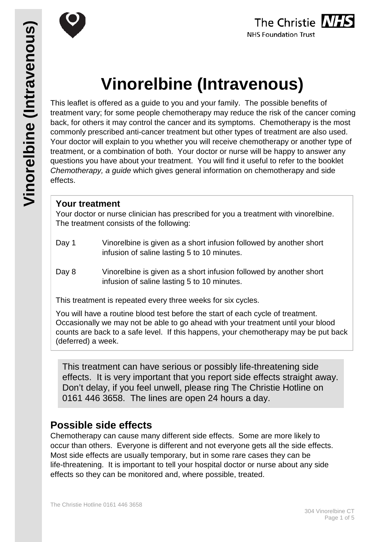



# **Vinorelbine (Intravenous)**

This leaflet is offered as a guide to you and your family. The possible benefits of treatment vary; for some people chemotherapy may reduce the risk of the cancer coming back, for others it may control the cancer and its symptoms. Chemotherapy is the most commonly prescribed anti-cancer treatment but other types of treatment are also used. Your doctor will explain to you whether you will receive chemotherapy or another type of treatment, or a combination of both. Your doctor or nurse will be happy to answer any questions you have about your treatment. You will find it useful to refer to the booklet *Chemotherapy, a guide* which gives general information on chemotherapy and side effects.

## **Your treatment**

Your doctor or nurse clinician has prescribed for you a treatment with vinorelbine. The treatment consists of the following:

- Day 1 Vinorelbine is given as a short infusion followed by another short infusion of saline lasting 5 to 10 minutes.
- Day 8 Vinorelbine is given as a short infusion followed by another short infusion of saline lasting 5 to 10 minutes.

This treatment is repeated every three weeks for six cycles.

You will have a routine blood test before the start of each cycle of treatment. Occasionally we may not be able to go ahead with your treatment until your blood counts are back to a safe level. If this happens, your chemotherapy may be put back (deferred) a week.

This treatment can have serious or possibly life-threatening side effects. It is very important that you report side effects straight away. Don't delay, if you feel unwell, please ring The Christie Hotline on 0161 446 3658. The lines are open 24 hours a day.

# **Possible side effects**

Chemotherapy can cause many different side effects. Some are more likely to occur than others. Everyone is different and not everyone gets all the side effects. Most side effects are usually temporary, but in some rare cases they can be life-threatening. It is important to tell your hospital doctor or nurse about any side effects so they can be monitored and, where possible, treated.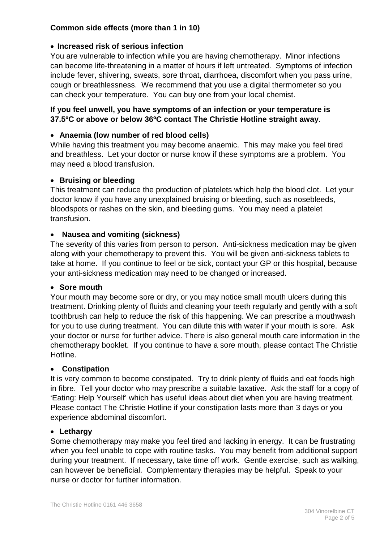## **Common side effects (more than 1 in 10)**

## • **Increased risk of serious infection**

You are vulnerable to infection while you are having chemotherapy. Minor infections can become life-threatening in a matter of hours if left untreated. Symptoms of infection include fever, shivering, sweats, sore throat, diarrhoea, discomfort when you pass urine, cough or breathlessness. We recommend that you use a digital thermometer so you can check your temperature. You can buy one from your local chemist.

## **If you feel unwell, you have symptoms of an infection or your temperature is 37.5ºC or above or below 36ºC contact The Christie Hotline straight away**.

## • **Anaemia (low number of red blood cells)**

While having this treatment you may become anaemic. This may make you feel tired and breathless. Let your doctor or nurse know if these symptoms are a problem. You may need a blood transfusion.

## • **Bruising or bleeding**

This treatment can reduce the production of platelets which help the blood clot. Let your doctor know if you have any unexplained bruising or bleeding, such as nosebleeds, bloodspots or rashes on the skin, and bleeding gums. You may need a platelet transfusion.

## • **Nausea and vomiting (sickness)**

The severity of this varies from person to person. Anti-sickness medication may be given along with your chemotherapy to prevent this. You will be given anti-sickness tablets to take at home. If you continue to feel or be sick, contact your GP or this hospital, because your anti-sickness medication may need to be changed or increased.

#### • **Sore mouth**

Your mouth may become sore or dry, or you may notice small mouth ulcers during this treatment. Drinking plenty of fluids and cleaning your teeth regularly and gently with a soft toothbrush can help to reduce the risk of this happening. We can prescribe a mouthwash for you to use during treatment. You can dilute this with water if your mouth is sore. Ask your doctor or nurse for further advice. There is also general mouth care information in the chemotherapy booklet. If you continue to have a sore mouth, please contact The Christie Hotline.

#### • **Constipation**

It is very common to become constipated. Try to drink plenty of fluids and eat foods high in fibre. Tell your doctor who may prescribe a suitable laxative. Ask the staff for a copy of 'Eating: Help Yourself' which has useful ideas about diet when you are having treatment. Please contact The Christie Hotline if your constipation lasts more than 3 days or you experience abdominal discomfort.

#### • **Lethargy**

Some chemotherapy may make you feel tired and lacking in energy. It can be frustrating when you feel unable to cope with routine tasks. You may benefit from additional support during your treatment. If necessary, take time off work. Gentle exercise, such as walking, can however be beneficial. Complementary therapies may be helpful. Speak to your nurse or doctor for further information.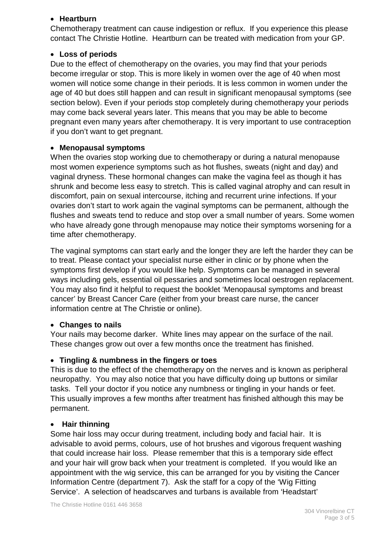### • **Heartburn**

Chemotherapy treatment can cause indigestion or reflux. If you experience this please contact The Christie Hotline. Heartburn can be treated with medication from your GP.

## • **Loss of periods**

Due to the effect of chemotherapy on the ovaries, you may find that your periods become irregular or stop. This is more likely in women over the age of 40 when most women will notice some change in their periods. It is less common in women under the age of 40 but does still happen and can result in significant menopausal symptoms (see section below). Even if your periods stop completely during chemotherapy your periods may come back several years later. This means that you may be able to become pregnant even many years after chemotherapy. It is very important to use contraception if you don't want to get pregnant.

## • **Menopausal symptoms**

When the ovaries stop working due to chemotherapy or during a natural menopause most women experience symptoms such as hot flushes, sweats (night and day) and vaginal dryness. These hormonal changes can make the vagina feel as though it has shrunk and become less easy to stretch. This is called vaginal atrophy and can result in discomfort, pain on sexual intercourse, itching and recurrent urine infections. If your ovaries don't start to work again the vaginal symptoms can be permanent, although the flushes and sweats tend to reduce and stop over a small number of years. Some women who have already gone through menopause may notice their symptoms worsening for a time after chemotherapy.

The vaginal symptoms can start early and the longer they are left the harder they can be to treat. Please contact your specialist nurse either in clinic or by phone when the symptoms first develop if you would like help. Symptoms can be managed in several ways including gels, essential oil pessaries and sometimes local oestrogen replacement. You may also find it helpful to request the booklet 'Menopausal symptoms and breast cancer' by Breast Cancer Care (either from your breast care nurse, the cancer information centre at The Christie or online).

## • **Changes to nails**

Your nails may become darker. White lines may appear on the surface of the nail. These changes grow out over a few months once the treatment has finished.

## • **Tingling & numbness in the fingers or toes**

This is due to the effect of the chemotherapy on the nerves and is known as peripheral neuropathy. You may also notice that you have difficulty doing up buttons or similar tasks. Tell your doctor if you notice any numbness or tingling in your hands or feet. This usually improves a few months after treatment has finished although this may be permanent.

## • **Hair thinning**

Some hair loss may occur during treatment, including body and facial hair. It is advisable to avoid perms, colours, use of hot brushes and vigorous frequent washing that could increase hair loss. Please remember that this is a temporary side effect and your hair will grow back when your treatment is completed. If you would like an appointment with the wig service, this can be arranged for you by visiting the Cancer Information Centre (department 7). Ask the staff for a copy of the 'Wig Fitting Service'. A selection of headscarves and turbans is available from 'Headstart'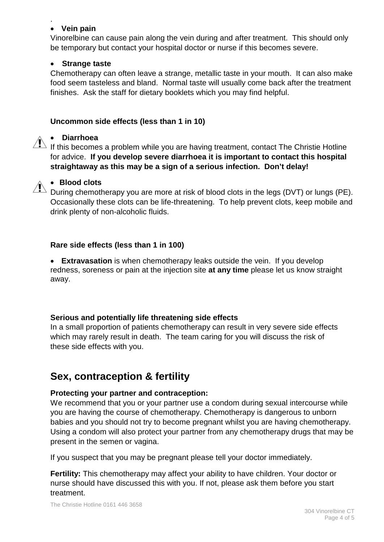#### . • **Vein pain**

Vinorelbine can cause pain along the vein during and after treatment. This should only be temporary but contact your hospital doctor or nurse if this becomes severe.

## • **Strange taste**

Chemotherapy can often leave a strange, metallic taste in your mouth. It can also make food seem tasteless and bland. Normal taste will usually come back after the treatment finishes. Ask the staff for dietary booklets which you may find helpful.

## **Uncommon side effects (less than 1 in 10)**

## • **Diarrhoea**

If this becomes a problem while you are having treatment, contact The Christie Hotline for advice. **If you develop severe diarrhoea it is important to contact this hospital straightaway as this may be a sign of a serious infection. Don't delay!**



## • **Blood clots**

During chemotherapy you are more at risk of blood clots in the legs (DVT) or lungs (PE). Occasionally these clots can be life-threatening. To help prevent clots, keep mobile and drink plenty of non-alcoholic fluids.

## **Rare side effects (less than 1 in 100)**

• **Extravasation** is when chemotherapy leaks outside the vein. If you develop redness, soreness or pain at the injection site **at any time** please let us know straight away.

## **Serious and potentially life threatening side effects**

In a small proportion of patients chemotherapy can result in very severe side effects which may rarely result in death. The team caring for you will discuss the risk of these side effects with you.

# **Sex, contraception & fertility**

#### **Protecting your partner and contraception:**

We recommend that you or your partner use a condom during sexual intercourse while you are having the course of chemotherapy. Chemotherapy is dangerous to unborn babies and you should not try to become pregnant whilst you are having chemotherapy. Using a condom will also protect your partner from any chemotherapy drugs that may be present in the semen or vagina.

If you suspect that you may be pregnant please tell your doctor immediately.

**Fertility:** This chemotherapy may affect your ability to have children. Your doctor or nurse should have discussed this with you. If not, please ask them before you start treatment.